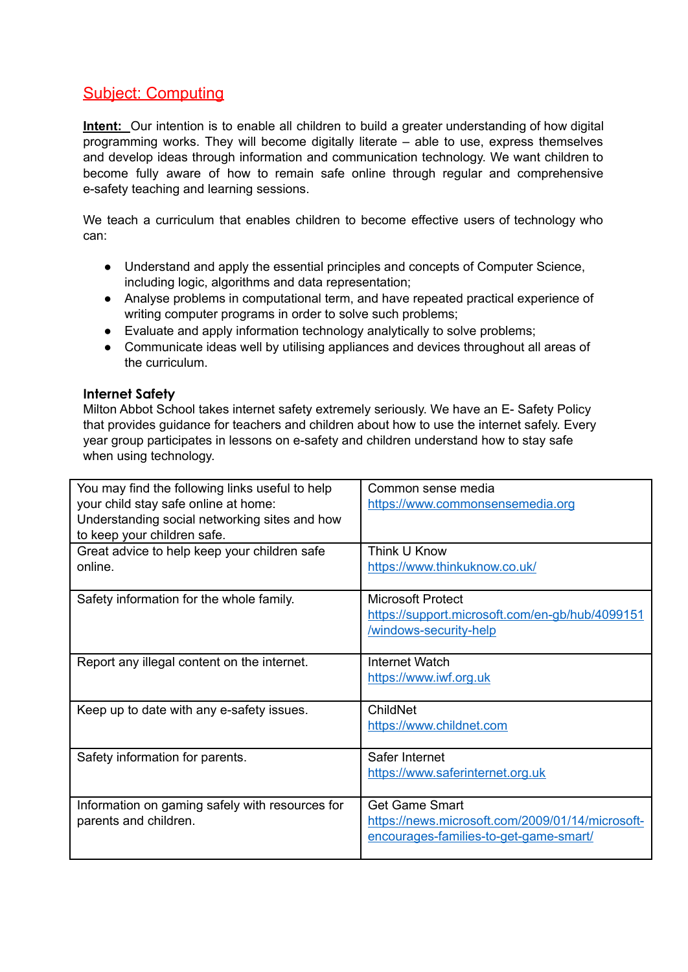## Subject: Computing

**Intent:** Our intention is to enable all children to build a greater understanding of how digital programming works. They will become digitally literate – able to use, express themselves and develop ideas through information and communication technology. We want children to become fully aware of how to remain safe online through regular and comprehensive e-safety teaching and learning sessions.

We teach a curriculum that enables children to become effective users of technology who can:

- Understand and apply the essential principles and concepts of Computer Science, including logic, algorithms and data representation;
- Analyse problems in computational term, and have repeated practical experience of writing computer programs in order to solve such problems;
- Evaluate and apply information technology analytically to solve problems;
- Communicate ideas well by utilising appliances and devices throughout all areas of the curriculum.

## **Internet Safety**

Milton Abbot School takes internet safety extremely seriously. We have an E- Safety Policy that provides guidance for teachers and children about how to use the internet safely. Every year group participates in lessons on e-safety and children understand how to stay safe when using technology.

| You may find the following links useful to help                                       | Common sense media                               |
|---------------------------------------------------------------------------------------|--------------------------------------------------|
| your child stay safe online at home:<br>Understanding social networking sites and how | https://www.commonsensemedia.org                 |
| to keep your children safe.                                                           |                                                  |
| Great advice to help keep your children safe                                          | Think U Know                                     |
| online.                                                                               | https://www.thinkuknow.co.uk/                    |
| Safety information for the whole family.                                              | <b>Microsoft Protect</b>                         |
|                                                                                       | https://support.microsoft.com/en-gb/hub/4099151  |
|                                                                                       | /windows-security-help                           |
| Report any illegal content on the internet.                                           | Internet Watch                                   |
|                                                                                       | https://www.iwf.org.uk                           |
| Keep up to date with any e-safety issues.                                             | ChildNet                                         |
|                                                                                       | https://www.childnet.com                         |
| Safety information for parents.                                                       | Safer Internet                                   |
|                                                                                       | https://www.saferinternet.org.uk                 |
| Information on gaming safely with resources for                                       | <b>Get Game Smart</b>                            |
| parents and children.                                                                 | https://news.microsoft.com/2009/01/14/microsoft- |
|                                                                                       | encourages-families-to-get-game-smart/           |
|                                                                                       |                                                  |